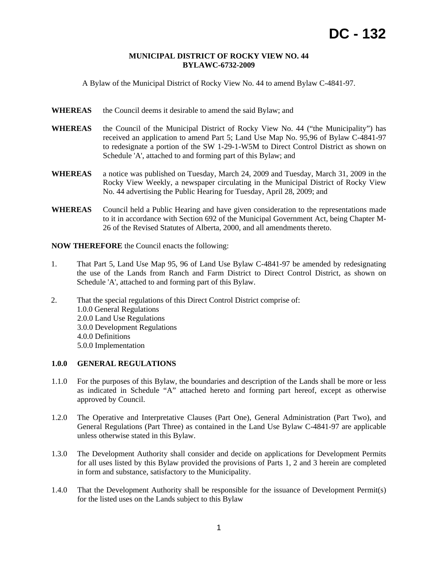### **MUNICIPAL DISTRICT OF ROCKY VIEW NO. 44 BYLAWC-6732-2009**

A Bylaw of the Municipal District of Rocky View No. 44 to amend Bylaw C-4841-97.

- WHEREAS the Council deems it desirable to amend the said Bylaw; and
- **WHEREAS** the Council of the Municipal District of Rocky View No. 44 ("the Municipality") has received an application to amend Part 5; Land Use Map No. 95,96 of Bylaw C-4841-97 to redesignate a portion of the SW 1-29-1-W5M to Direct Control District as shown on Schedule 'A', attached to and forming part of this Bylaw; and
- **WHEREAS** a notice was published on Tuesday, March 24, 2009 and Tuesday, March 31, 2009 in the Rocky View Weekly, a newspaper circulating in the Municipal District of Rocky View No. 44 advertising the Public Hearing for Tuesday, April 28, 2009; and
- **WHEREAS** Council held a Public Hearing and have given consideration to the representations made to it in accordance with Section 692 of the Municipal Government Act, being Chapter M-26 of the Revised Statutes of Alberta, 2000, and all amendments thereto.

**NOW THEREFORE** the Council enacts the following:

- 1. That Part 5, Land Use Map 95, 96 of Land Use Bylaw C-4841-97 be amended by redesignating the use of the Lands from Ranch and Farm District to Direct Control District, as shown on Schedule 'A', attached to and forming part of this Bylaw.
- 2. That the special regulations of this Direct Control District comprise of: 1.0.0 General Regulations 2.0.0 Land Use Regulations 3.0.0 Development Regulations 4.0.0 Definitions 5.0.0 Implementation

# **1.0.0 GENERAL REGULATIONS**

- 1.1.0 For the purposes of this Bylaw, the boundaries and description of the Lands shall be more or less as indicated in Schedule "A" attached hereto and forming part hereof, except as otherwise approved by Council.
- 1.2.0 The Operative and Interpretative Clauses (Part One), General Administration (Part Two), and General Regulations (Part Three) as contained in the Land Use Bylaw C-4841-97 are applicable unless otherwise stated in this Bylaw.
- 1.3.0 The Development Authority shall consider and decide on applications for Development Permits for all uses listed by this Bylaw provided the provisions of Parts 1, 2 and 3 herein are completed in form and substance, satisfactory to the Municipality.
- 1.4.0 That the Development Authority shall be responsible for the issuance of Development Permit(s) for the listed uses on the Lands subject to this Bylaw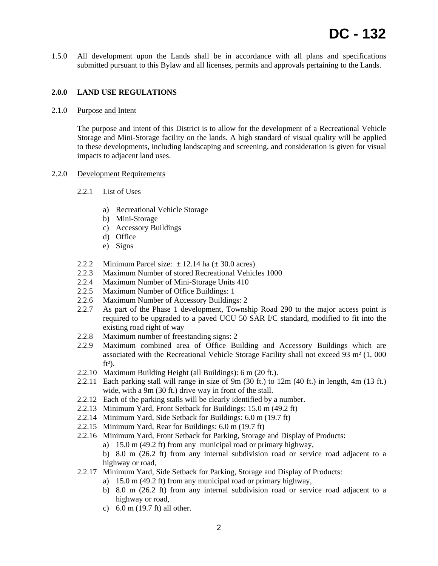1.5.0 All development upon the Lands shall be in accordance with all plans and specifications submitted pursuant to this Bylaw and all licenses, permits and approvals pertaining to the Lands.

## **2.0.0 LAND USE REGULATIONS**

#### 2.1.0 Purpose and Intent

The purpose and intent of this District is to allow for the development of a Recreational Vehicle Storage and Mini-Storage facility on the lands. A high standard of visual quality will be applied to these developments, including landscaping and screening, and consideration is given for visual impacts to adjacent land uses.

### 2.2.0 Development Requirements

- 2.2.1 List of Uses
	- a) Recreational Vehicle Storage
	- b) Mini-Storage
	- c) Accessory Buildings
	- d) Office
	- e) Signs
- 2.2.2 Minimum Parcel size:  $\pm$  12.14 ha ( $\pm$  30.0 acres)
- 2.2.3 Maximum Number of stored Recreational Vehicles 1000
- 2.2.4 Maximum Number of Mini-Storage Units 410
- 2.2.5 Maximum Number of Office Buildings: 1
- 2.2.6 Maximum Number of Accessory Buildings: 2
- 2.2.7 As part of the Phase 1 development, Township Road 290 to the major access point is required to be upgraded to a paved UCU 50 SAR I/C standard, modified to fit into the existing road right of way
- 2.2.8 Maximum number of freestanding signs: 2
- 2.2.9 Maximum combined area of Office Building and Accessory Buildings which are associated with the Recreational Vehicle Storage Facility shall not exceed 93 m² (1, 000  $ft<sup>2</sup>$ ).
- 2.2.10 Maximum Building Height (all Buildings): 6 m (20 ft.).
- 2.2.11 Each parking stall will range in size of 9m (30 ft.) to 12m (40 ft.) in length, 4m (13 ft.) wide, with a 9m (30 ft.) drive way in front of the stall.
- 2.2.12 Each of the parking stalls will be clearly identified by a number.
- 2.2.13 Minimum Yard, Front Setback for Buildings: 15.0 m (49.2 ft)
- 2.2.14 Minimum Yard, Side Setback for Buildings: 6.0 m (19.7 ft)
- 2.2.15 Minimum Yard, Rear for Buildings: 6.0 m (19.7 ft)
- 2.2.16 Minimum Yard, Front Setback for Parking, Storage and Display of Products:
	- a) 15.0 m (49.2 ft) from any municipal road or primary highway,
	- b) 8.0 m (26.2 ft) from any internal subdivision road or service road adjacent to a highway or road,
- 2.2.17 Minimum Yard, Side Setback for Parking, Storage and Display of Products:
	- a) 15.0 m (49.2 ft) from any municipal road or primary highway,
	- b) 8.0 m (26.2 ft) from any internal subdivision road or service road adjacent to a highway or road,
	- c) 6.0 m (19.7 ft) all other.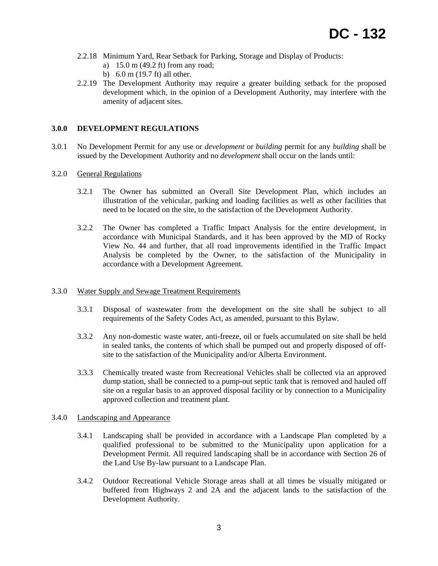- 2.2.18 Minimum Yard, Rear Setback for Parking, Storage and Display of Products:
	- a) 15.0 m (49.2 ft) from any road;
	- b) 6.0 m (19.7 ft) all other.
- 2.2.19 The Development Authority may require a greater building setback for the proposed development which, in the opinion of a Development Authority, may interfere with the amenity of adjacent sites.

## **3.0.0 DEVELOPMENT REGULATIONS**

3.0.1 No Development Permit for any use or *development* or *building* permit for any *building* shall be issued by the Development Authority and no *development* shall occur on the lands until:

## 3.2.0 General Regulations

- 3.2.1 The Owner has submitted an Overall Site Development Plan, which includes an illustration of the vehicular, parking and loading facilities as well as other facilities that need to be located on the site, to the satisfaction of the Development Authority.
- 3.2.2 The Owner has completed a Traffic Impact Analysis for the entire development, in accordance with Municipal Standards, and it has been approved by the MD of Rocky View No. 44 and further, that all road improvements identified in the Traffic Impact Analysis be completed by the Owner, to the satisfaction of the Municipality in accordance with a Development Agreement.

### 3.3.0 Water Supply and Sewage Treatment Requirements

- 3.3.1 Disposal of wastewater from the development on the site shall be subject to all requirements of the Safety Codes Act, as amended, pursuant to this Bylaw.
- 3.3.2 Any non-domestic waste water, anti-freeze, oil or fuels accumulated on site shall be held in sealed tanks, the contents of which shall be pumped out and properly disposed of offsite to the satisfaction of the Municipality and/or Alberta Environment.
- 3.3.3 Chemically treated waste from Recreational Vehicles shall be collected via an approved dump station, shall be connected to a pump-out septic tank that is removed and hauled off site on a regular basis to an approved disposal facility or by connection to a Municipality approved collection and treatment plant.

## 3.4.0 Landscaping and Appearance

- 3.4.1 Landscaping shall be provided in accordance with a Landscape Plan completed by a qualified professional to be submitted to the Municipality upon application for a Development Permit. All required landscaping shall be in accordance with Section 26 of the Land Use By-law pursuant to a Landscape Plan.
- 3.4.2 Outdoor Recreational Vehicle Storage areas shall at all times be visually mitigated or buffered from Highways 2 and 2A and the adjacent lands to the satisfaction of the Development Authority.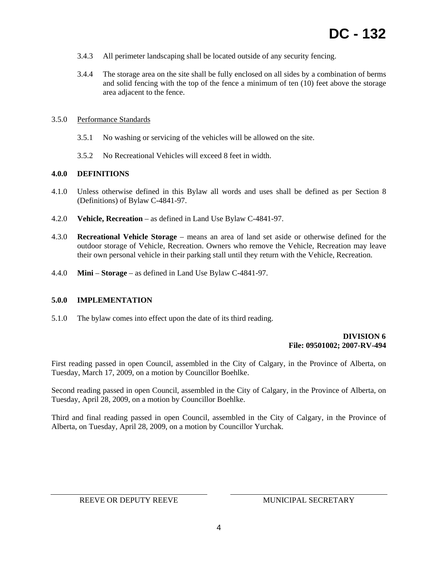- 3.4.3 All perimeter landscaping shall be located outside of any security fencing.
- 3.4.4 The storage area on the site shall be fully enclosed on all sides by a combination of berms and solid fencing with the top of the fence a minimum of ten (10) feet above the storage area adjacent to the fence.

## 3.5.0 Performance Standards

- 3.5.1 No washing or servicing of the vehicles will be allowed on the site.
- 3.5.2 No Recreational Vehicles will exceed 8 feet in width.

## **4.0.0 DEFINITIONS**

- 4.1.0 Unless otherwise defined in this Bylaw all words and uses shall be defined as per Section 8 (Definitions) of Bylaw C-4841-97.
- 4.2.0 **Vehicle, Recreation** as defined in Land Use Bylaw C-4841-97.
- 4.3.0 **Recreational Vehicle Storage** means an area of land set aside or otherwise defined for the outdoor storage of Vehicle, Recreation. Owners who remove the Vehicle, Recreation may leave their own personal vehicle in their parking stall until they return with the Vehicle, Recreation.
- 4.4.0 **Mini Storage** as defined in Land Use Bylaw C-4841-97.

### **5.0.0 IMPLEMENTATION**

5.1.0 The bylaw comes into effect upon the date of its third reading.

## **DIVISION 6 File: 09501002; 2007-RV-494**

First reading passed in open Council, assembled in the City of Calgary, in the Province of Alberta, on Tuesday, March 17, 2009, on a motion by Councillor Boehlke.

Second reading passed in open Council, assembled in the City of Calgary, in the Province of Alberta, on Tuesday, April 28, 2009, on a motion by Councillor Boehlke.

Third and final reading passed in open Council, assembled in the City of Calgary, in the Province of Alberta, on Tuesday, April 28, 2009, on a motion by Councillor Yurchak.

REEVE OR DEPUTY REEVE MUNICIPAL SECRETARY